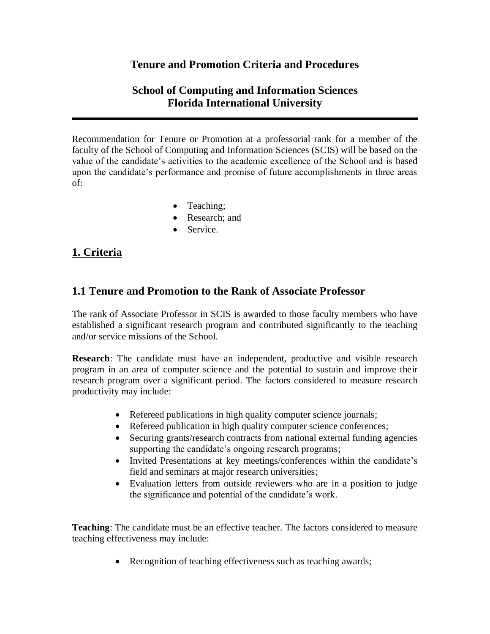## **Tenure and Promotion Criteria and Procedures**

# **School of Computing and Information Sciences Florida International University**

Recommendation for Tenure or Promotion at a professorial rank for a member of the faculty of the School of Computing and Information Sciences (SCIS) will be based on the value of the candidate's activities to the academic excellence of the School and is based upon the candidate's performance and promise of future accomplishments in three areas of:

- Teaching;
- Research: and
- Service.

# **1. Criteria**

## **1.1 Tenure and Promotion to the Rank of Associate Professor**

The rank of Associate Professor in SCIS is awarded to those faculty members who have established a significant research program and contributed significantly to the teaching and/or service missions of the School.

**Research**: The candidate must have an independent, productive and visible research program in an area of computer science and the potential to sustain and improve their research program over a significant period. The factors considered to measure research productivity may include:

- Refereed publications in high quality computer science journals;
- Refereed publication in high quality computer science conferences;
- Securing grants/research contracts from national external funding agencies supporting the candidate's ongoing research programs;
- Invited Presentations at key meetings/conferences within the candidate's field and seminars at major research universities;
- Evaluation letters from outside reviewers who are in a position to judge the significance and potential of the candidate's work.

**Teaching**: The candidate must be an effective teacher. The factors considered to measure teaching effectiveness may include:

• Recognition of teaching effectiveness such as teaching awards;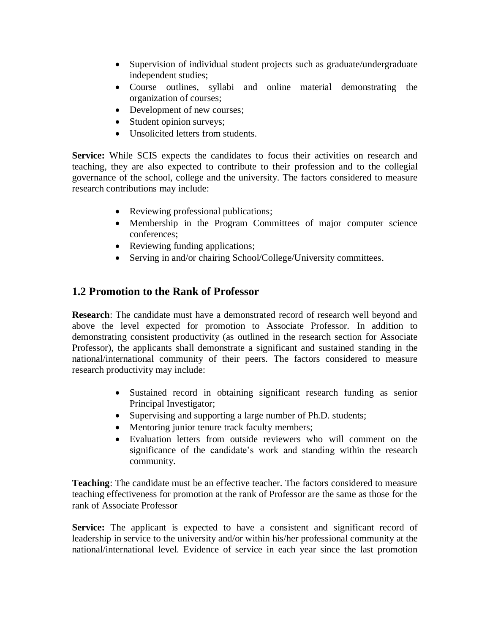- Supervision of individual student projects such as graduate/undergraduate independent studies;
- Course outlines, syllabi and online material demonstrating the organization of courses;
- Development of new courses;
- Student opinion surveys;
- Unsolicited letters from students.

**Service:** While SCIS expects the candidates to focus their activities on research and teaching, they are also expected to contribute to their profession and to the collegial governance of the school, college and the university. The factors considered to measure research contributions may include:

- Reviewing professional publications;
- Membership in the Program Committees of major computer science conferences;
- Reviewing funding applications;
- Serving in and/or chairing School/College/University committees.

## **1.2 Promotion to the Rank of Professor**

**Research**: The candidate must have a demonstrated record of research well beyond and above the level expected for promotion to Associate Professor. In addition to demonstrating consistent productivity (as outlined in the research section for Associate Professor), the applicants shall demonstrate a significant and sustained standing in the national/international community of their peers. The factors considered to measure research productivity may include:

- Sustained record in obtaining significant research funding as senior Principal Investigator;
- Supervising and supporting a large number of Ph.D. students;
- Mentoring junior tenure track faculty members;
- Evaluation letters from outside reviewers who will comment on the significance of the candidate's work and standing within the research community.

**Teaching**: The candidate must be an effective teacher. The factors considered to measure teaching effectiveness for promotion at the rank of Professor are the same as those for the rank of Associate Professor

**Service:** The applicant is expected to have a consistent and significant record of leadership in service to the university and/or within his/her professional community at the national/international level. Evidence of service in each year since the last promotion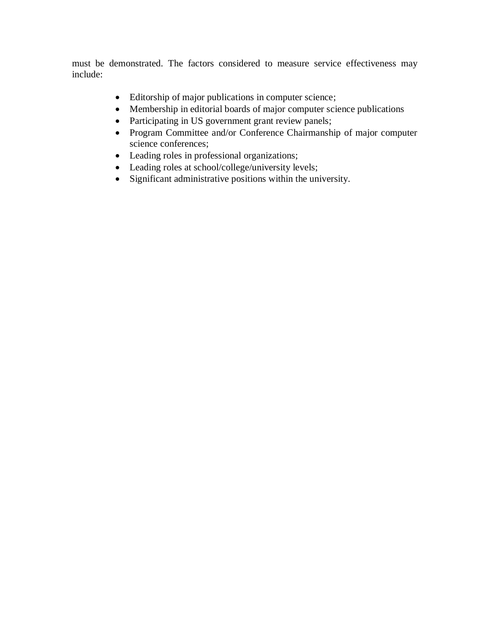must be demonstrated. The factors considered to measure service effectiveness may include:

- Editorship of major publications in computer science;
- Membership in editorial boards of major computer science publications
- Participating in US government grant review panels;
- Program Committee and/or Conference Chairmanship of major computer science conferences;
- Leading roles in professional organizations;
- Leading roles at school/college/university levels;
- Significant administrative positions within the university.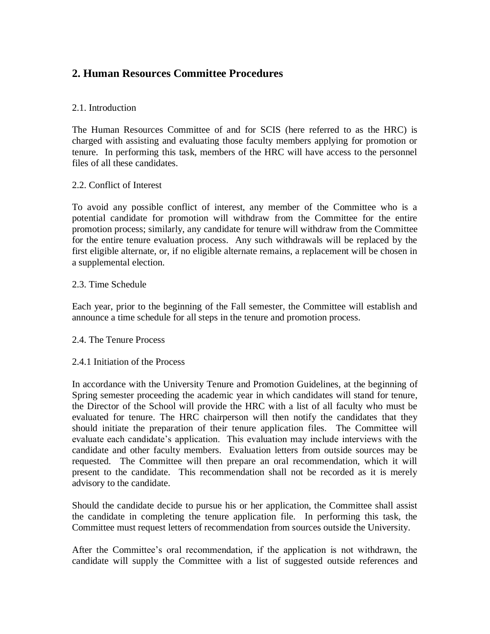# **2. Human Resources Committee Procedures**

## 2.1. Introduction

The Human Resources Committee of and for SCIS (here referred to as the HRC) is charged with assisting and evaluating those faculty members applying for promotion or tenure. In performing this task, members of the HRC will have access to the personnel files of all these candidates.

## 2.2. Conflict of Interest

To avoid any possible conflict of interest, any member of the Committee who is a potential candidate for promotion will withdraw from the Committee for the entire promotion process; similarly, any candidate for tenure will withdraw from the Committee for the entire tenure evaluation process. Any such withdrawals will be replaced by the first eligible alternate, or, if no eligible alternate remains, a replacement will be chosen in a supplemental election.

#### 2.3. Time Schedule

Each year, prior to the beginning of the Fall semester, the Committee will establish and announce a time schedule for all steps in the tenure and promotion process.

#### 2.4. The Tenure Process

#### 2.4.1 Initiation of the Process

In accordance with the University Tenure and Promotion Guidelines, at the beginning of Spring semester proceeding the academic year in which candidates will stand for tenure, the Director of the School will provide the HRC with a list of all faculty who must be evaluated for tenure. The HRC chairperson will then notify the candidates that they should initiate the preparation of their tenure application files. The Committee will evaluate each candidate's application. This evaluation may include interviews with the candidate and other faculty members. Evaluation letters from outside sources may be requested. The Committee will then prepare an oral recommendation, which it will present to the candidate. This recommendation shall not be recorded as it is merely advisory to the candidate.

Should the candidate decide to pursue his or her application, the Committee shall assist the candidate in completing the tenure application file. In performing this task, the Committee must request letters of recommendation from sources outside the University.

After the Committee's oral recommendation, if the application is not withdrawn, the candidate will supply the Committee with a list of suggested outside references and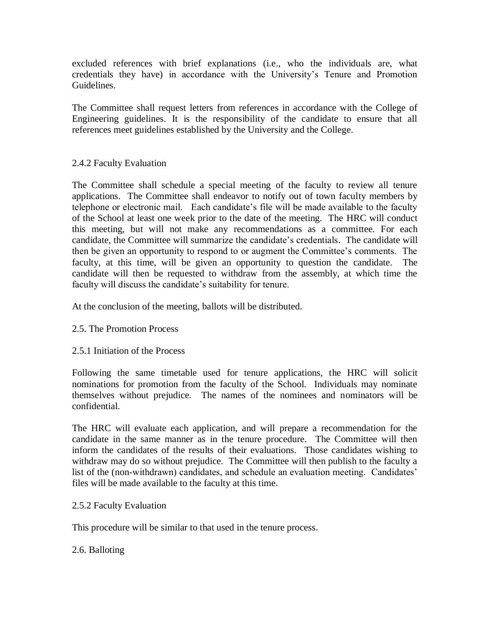excluded references with brief explanations (i.e., who the individuals are, what credentials they have) in accordance with the University's Tenure and Promotion Guidelines.

The Committee shall request letters from references in accordance with the College of Engineering guidelines. It is the responsibility of the candidate to ensure that all references meet guidelines established by the University and the College.

## 2.4.2 Faculty Evaluation

The Committee shall schedule a special meeting of the faculty to review all tenure applications. The Committee shall endeavor to notify out of town faculty members by telephone or electronic mail. Each candidate's file will be made available to the faculty of the School at least one week prior to the date of the meeting. The HRC will conduct this meeting, but will not make any recommendations as a committee. For each candidate, the Committee will summarize the candidate's credentials. The candidate will then be given an opportunity to respond to or augment the Committee's comments. The faculty, at this time, will be given an opportunity to question the candidate. The candidate will then be requested to withdraw from the assembly, at which time the faculty will discuss the candidate's suitability for tenure.

At the conclusion of the meeting, ballots will be distributed.

#### 2.5. The Promotion Process

#### 2.5.1 Initiation of the Process

Following the same timetable used for tenure applications, the HRC will solicit nominations for promotion from the faculty of the School. Individuals may nominate themselves without prejudice. The names of the nominees and nominators will be confidential.

The HRC will evaluate each application, and will prepare a recommendation for the candidate in the same manner as in the tenure procedure. The Committee will then inform the candidates of the results of their evaluations. Those candidates wishing to withdraw may do so without prejudice. The Committee will then publish to the faculty a list of the (non-withdrawn) candidates, and schedule an evaluation meeting. Candidates' files will be made available to the faculty at this time.

#### 2.5.2 Faculty Evaluation

This procedure will be similar to that used in the tenure process.

## 2.6. Balloting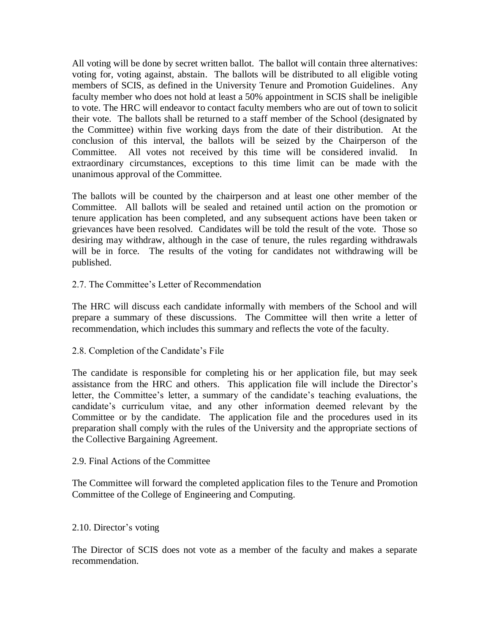All voting will be done by secret written ballot. The ballot will contain three alternatives: voting for, voting against, abstain. The ballots will be distributed to all eligible voting members of SCIS, as defined in the University Tenure and Promotion Guidelines. Any faculty member who does not hold at least a 50% appointment in SCIS shall be ineligible to vote. The HRC will endeavor to contact faculty members who are out of town to solicit their vote. The ballots shall be returned to a staff member of the School (designated by the Committee) within five working days from the date of their distribution. At the conclusion of this interval, the ballots will be seized by the Chairperson of the Committee. All votes not received by this time will be considered invalid. In extraordinary circumstances, exceptions to this time limit can be made with the unanimous approval of the Committee.

The ballots will be counted by the chairperson and at least one other member of the Committee. All ballots will be sealed and retained until action on the promotion or tenure application has been completed, and any subsequent actions have been taken or grievances have been resolved. Candidates will be told the result of the vote. Those so desiring may withdraw, although in the case of tenure, the rules regarding withdrawals will be in force. The results of the voting for candidates not withdrawing will be published.

#### 2.7. The Committee's Letter of Recommendation

The HRC will discuss each candidate informally with members of the School and will prepare a summary of these discussions. The Committee will then write a letter of recommendation, which includes this summary and reflects the vote of the faculty.

#### 2.8. Completion of the Candidate's File

The candidate is responsible for completing his or her application file, but may seek assistance from the HRC and others. This application file will include the Director's letter, the Committee's letter, a summary of the candidate's teaching evaluations, the candidate's curriculum vitae, and any other information deemed relevant by the Committee or by the candidate. The application file and the procedures used in its preparation shall comply with the rules of the University and the appropriate sections of the Collective Bargaining Agreement.

#### 2.9. Final Actions of the Committee

The Committee will forward the completed application files to the Tenure and Promotion Committee of the College of Engineering and Computing.

#### 2.10. Director's voting

The Director of SCIS does not vote as a member of the faculty and makes a separate recommendation.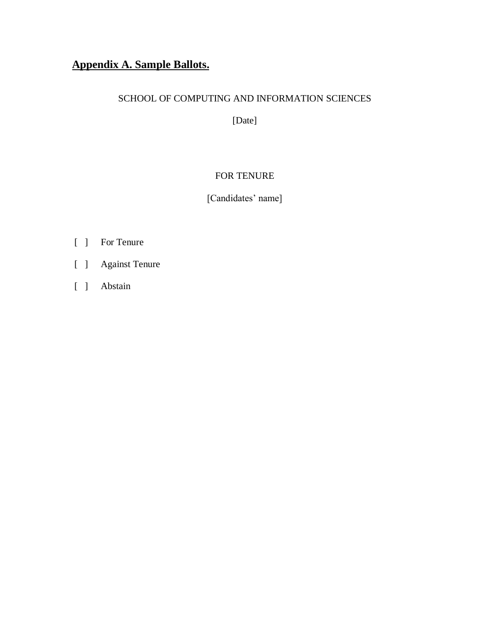# **Appendix A. Sample Ballots.**

## SCHOOL OF COMPUTING AND INFORMATION SCIENCES

[Date]

## FOR TENURE

[Candidates' name]

- [ ] For Tenure
- [ ] Against Tenure
- [ ] Abstain